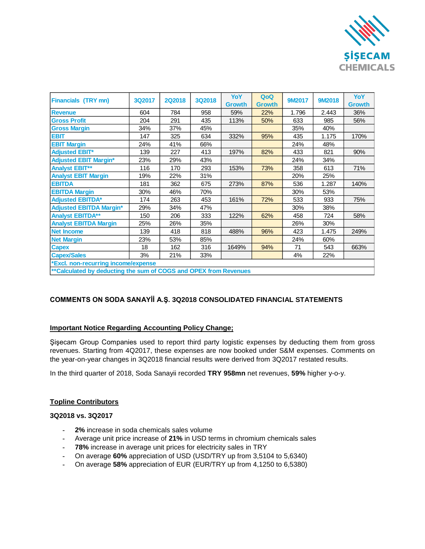

| <b>Financials (TRY mn)</b>                                       | 3Q2017 | <b>2Q2018</b> | 3Q2018 | <b>YoY</b>    | QoQ           | 9M2017 | 9M2018 | <b>YoY</b>    |
|------------------------------------------------------------------|--------|---------------|--------|---------------|---------------|--------|--------|---------------|
|                                                                  |        |               |        | <b>Growth</b> | <b>Growth</b> |        |        | <b>Growth</b> |
| <b>Revenue</b>                                                   | 604    | 784           | 958    | 59%           | 22%           | 1.796  | 2.443  | 36%           |
| <b>Gross Profit</b>                                              | 204    | 291           | 435    | 113%          | 50%           | 633    | 985    | 56%           |
| <b>Gross Margin</b>                                              | 34%    | 37%           | 45%    |               |               | 35%    | 40%    |               |
| <b>EBIT</b>                                                      | 147    | 325           | 634    | 332%          | 95%           | 435    | 1.175  | 170%          |
| <b>EBIT Margin</b>                                               | 24%    | 41%           | 66%    |               |               | 24%    | 48%    |               |
| <b>Adjusted EBIT*</b>                                            | 139    | 227           | 413    | 197%          | 82%           | 433    | 821    | 90%           |
| <b>Adjusted EBIT Margin*</b>                                     | 23%    | 29%           | 43%    |               |               | 24%    | 34%    |               |
| <b>Analyst EBIT**</b>                                            | 116    | 170           | 293    | 153%          | 73%           | 358    | 613    | 71%           |
| <b>Analyst EBIT Margin</b>                                       | 19%    | 22%           | 31%    |               |               | 20%    | 25%    |               |
| <b>EBITDA</b>                                                    | 181    | 362           | 675    | 273%          | 87%           | 536    | 1.287  | 140%          |
| <b>EBITDA Margin</b>                                             | 30%    | 46%           | 70%    |               |               | 30%    | 53%    |               |
| <b>Adjusted EBITDA*</b>                                          | 174    | 263           | 453    | 161%          | 72%           | 533    | 933    | 75%           |
| <b>Adjusted EBITDA Margin*</b>                                   | 29%    | 34%           | 47%    |               |               | 30%    | 38%    |               |
| <b>Analyst EBITDA**</b>                                          | 150    | 206           | 333    | 122%          | 62%           | 458    | 724    | 58%           |
| <b>Analyst EBITDA Margin</b>                                     | 25%    | 26%           | 35%    |               |               | 26%    | 30%    |               |
| <b>Net Income</b>                                                | 139    | 418           | 818    | 488%          | 96%           | 423    | 1.475  | 249%          |
| <b>Net Margin</b>                                                | 23%    | 53%           | 85%    |               |               | 24%    | 60%    |               |
| <b>Capex</b>                                                     | 18     | 162           | 316    | 1649%         | 94%           | 71     | 543    | 663%          |
| <b>Capex/Sales</b>                                               | 3%     | 21%           | 33%    |               |               | 4%     | 22%    |               |
| *Excl. non-recurring income/expense                              |        |               |        |               |               |        |        |               |
| **Calculated by deducting the sum of COGS and OPEX from Revenues |        |               |        |               |               |        |        |               |

## **COMMENTS ON SODA SANAYİİ A.Ş. 3Q2018 CONSOLIDATED FINANCIAL STATEMENTS**

## **Important Notice Regarding Accounting Policy Change;**

Şişecam Group Companies used to report third party logistic expenses by deducting them from gross revenues. Starting from 4Q2017, these expenses are now booked under S&M expenses. Comments on the year-on-year changes in 3Q2018 financial results were derived from 3Q2017 restated results.

In the third quarter of 2018, Soda Sanayii recorded **TRY 958mn** net revenues, **59%** higher y-o-y.

#### **Topline Contributors**

## **3Q2018 vs. 3Q2017**

- **- 2%** increase in soda chemicals sales volume
- **-** Average unit price increase of **21%** in USD terms in chromium chemicals sales
- **- 78%** increase in average unit prices for electricity sales in TRY
- **-** On average **60%** appreciation of USD (USD/TRY up from 3,5104 to 5,6340)
- **-** On average **58%** appreciation of EUR (EUR/TRY up from 4,1250 to 6,5380)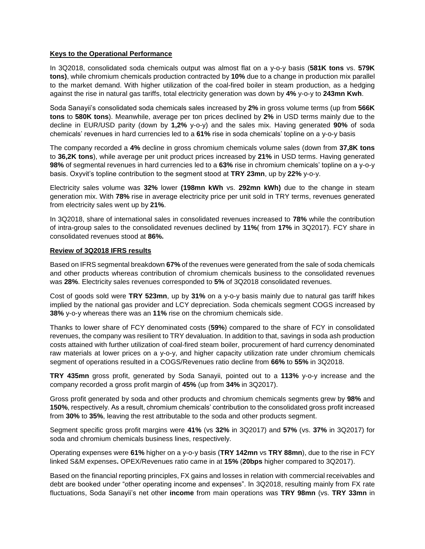### **Keys to the Operational Performance**

In 3Q2018, consolidated soda chemicals output was almost flat on a y-o-y basis (**581K tons** vs. **579K tons)**, while chromium chemicals production contracted by **10%** due to a change in production mix parallel to the market demand. With higher utilization of the coal-fired boiler in steam production, as a hedging against the rise in natural gas tariffs, total electricity generation was down by **4%** y-o-y to **243mn Kwh**.

Soda Sanayii's consolidated soda chemicals sales increased by **2%** in gross volume terms (up from **566K tons** to **580K tons**). Meanwhile, average per ton prices declined by **2%** in USD terms mainly due to the decline in EUR/USD parity (down by **1,2%** y-o-y) and the sales mix. Having generated **90%** of soda chemicals' revenues in hard currencies led to a **61%** rise in soda chemicals' topline on a y-o-y basis

The company recorded a **4%** decline in gross chromium chemicals volume sales (down from **37,8K tons** to **36,2K tons**), while average per unit product prices increased by **21%** in USD terms. Having generated **98%** of segmental revenues in hard currencies led to a **63%** rise in chromium chemicals' topline on a y-o-y basis. Oxyvit's topline contribution to the segment stood at **TRY 23mn**, up by **22%** y-o-y.

Electricity sales volume was **32%** lower **(198mn kWh** vs. **292mn kWh)** due to the change in steam generation mix. With **78%** rise in average electricity price per unit sold in TRY terms, revenues generated from electricity sales went up by **21%**.

In 3Q2018, share of international sales in consolidated revenues increased to **78%** while the contribution of intra-group sales to the consolidated revenues declined by **11%**( from **17%** in 3Q2017). FCY share in consolidated revenues stood at **86%.**

#### **Review of 3Q2018 IFRS results**

Based on IFRS segmental breakdown **67%** of the revenues were generated from the sale of soda chemicals and other products whereas contribution of chromium chemicals business to the consolidated revenues was **28%**. Electricity sales revenues corresponded to **5%** of 3Q2018 consolidated revenues.

Cost of goods sold were **TRY 523mn**, up by **31%** on a y-o-y basis mainly due to natural gas tariff hikes implied by the national gas provider and LCY depreciation. Soda chemicals segment COGS increased by **38%** y-o-y whereas there was an **11%** rise on the chromium chemicals side.

Thanks to lower share of FCY denominated costs (**59%**) compared to the share of FCY in consolidated revenues, the company was resilient to TRY devaluation. In addition to that, savings in soda ash production costs attained with further utilization of coal-fired steam boiler, procurement of hard currency denominated raw materials at lower prices on a y-o-y, and higher capacity utilization rate under chromium chemicals segment of operations resulted in a COGS/Revenues ratio decline from **66%** to **55%** in 3Q2018.

**TRY 435mn** gross profit, generated by Soda Sanayii, pointed out to a **113%** y-o-y increase and the company recorded a gross profit margin of **45%** (up from **34%** in 3Q2017).

Gross profit generated by soda and other products and chromium chemicals segments grew by **98%** and **150%**, respectively. As a result, chromium chemicals' contribution to the consolidated gross profit increased from **30%** to **35%**, leaving the rest attributable to the soda and other products segment.

Segment specific gross profit margins were **41%** (vs **32%** in 3Q2017) and **57%** (vs. **37%** in 3Q2017) for soda and chromium chemicals business lines, respectively.

Operating expenses were **61%** higher on a y-o-y basis (**TRY 142mn** vs **TRY 88mn**), due to the rise in FCY linked S&M expenses**.** OPEX/Revenues ratio came in at **15%** (**20bps** higher compared to 3Q2017).

Based on the financial reporting principles, FX gains and losses in relation with commercial receivables and debt are booked under "other operating income and expenses". In 3Q2018, resulting mainly from FX rate fluctuations, Soda Sanayii's net other **income** from main operations was **TRY 98mn** (vs. **TRY 33mn** in